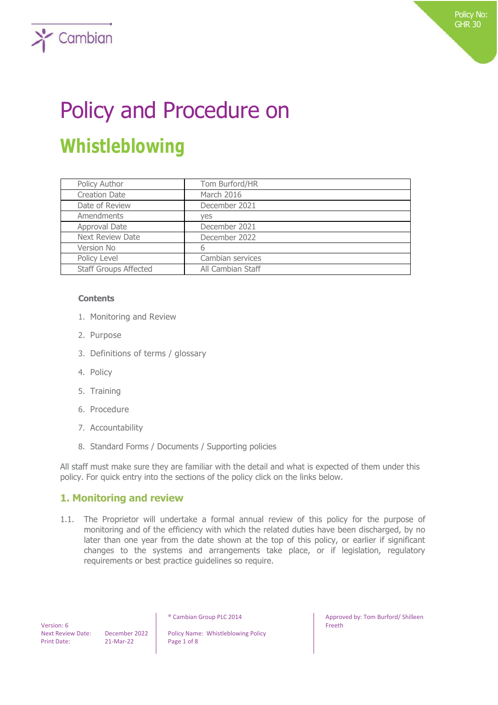# Policy and Procedure on **Whistleblowing**

| Policy Author                | Tom Burford/HR    |
|------------------------------|-------------------|
| <b>Creation Date</b>         | March 2016        |
| Date of Review               | December 2021     |
| Amendments                   | ves               |
| Approval Date                | December 2021     |
| <b>Next Review Date</b>      | December 2022     |
| Version No                   | 6                 |
| Policy Level                 | Cambian services  |
| <b>Staff Groups Affected</b> | All Cambian Staff |

#### **Contents**

 $\sum$  Cambian

- 1. Monitoring and Review
- 2. Purpose
- 3. Definitions of terms / glossary
- 4. Policy
- 5. Training
- 6. Procedure
- 7. Accountability
- 8. Standard Forms / Documents / Supporting policies

All staff must make sure they are familiar with the detail and what is expected of them under this policy. For quick entry into the sections of the policy click on the links below.

## **1. Monitoring and review**

1.1. The Proprietor will undertake a formal annual review of this policy for the purpose of monitoring and of the efficiency with which the related duties have been discharged, by no later than one year from the date shown at the top of this policy, or earlier if significant changes to the systems and arrangements take place, or if legislation, regulatory requirements or best practice guidelines so require.

 Version: 6 Print Date: 21-Mar-22 Page 1 of 8

Next Review Date: December 2022 | Policy Name: Whistleblowing Policy

® Cambian Group PLC 2014 Approved by: Tom Burford/ Shilleen Freeth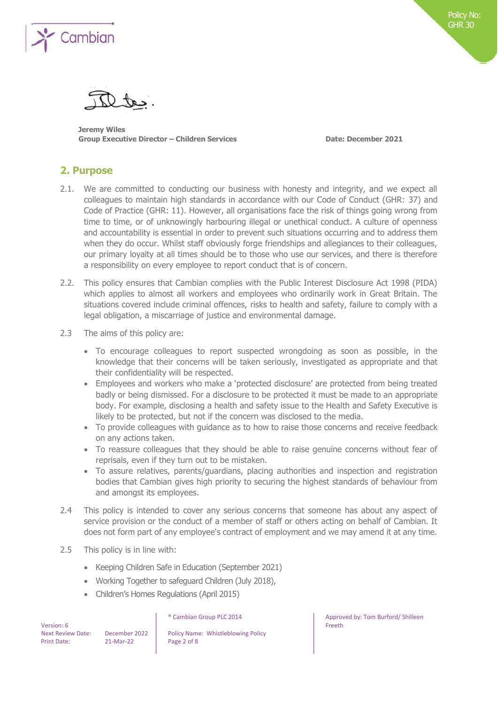

**Jeremy Wiles Group Executive Director – Children Services Date: December 2021**

## **2. Purpose**

- 2.1. We are committed to conducting our business with honesty and integrity, and we expect all colleagues to maintain high standards in accordance with our Code of Conduct (GHR: 37) and Code of Practice (GHR: 11). However, all organisations face the risk of things going wrong from time to time, or of unknowingly harbouring illegal or unethical conduct. A culture of openness and accountability is essential in order to prevent such situations occurring and to address them when they do occur. Whilst staff obviously forge friendships and allegiances to their colleagues, our primary loyalty at all times should be to those who use our services, and there is therefore a responsibility on every employee to report conduct that is of concern.
- 2.2. This policy ensures that Cambian complies with the Public Interest Disclosure Act 1998 (PIDA) which applies to almost all workers and employees who ordinarily work in Great Britain. The situations covered include criminal offences, risks to health and safety, failure to comply with a legal obligation, a miscarriage of justice and environmental damage.
- 2.3 The aims of this policy are:
	- To encourage colleagues to report suspected wrongdoing as soon as possible, in the knowledge that their concerns will be taken seriously, investigated as appropriate and that their confidentiality will be respected.
	- Employees and workers who make a 'protected disclosure' are protected from being treated badly or being dismissed. For a disclosure to be protected it must be made to an appropriate body. For example, disclosing a health and safety issue to the Health and Safety Executive is likely to be protected, but not if the concern was disclosed to the media.
	- To provide colleagues with guidance as to how to raise those concerns and receive feedback on any actions taken.
	- To reassure colleagues that they should be able to raise genuine concerns without fear of reprisals, even if they turn out to be mistaken.
	- To assure relatives, parents/guardians, placing authorities and inspection and registration bodies that Cambian gives high priority to securing the highest standards of behaviour from and amongst its employees.
- 2.4 This policy is intended to cover any serious concerns that someone has about any aspect of service provision or the conduct of a member of staff or others acting on behalf of Cambian. It does not form part of any employee's contract of employment and we may amend it at any time.
- 2.5 This policy is in line with:
	- Keeping Children Safe in Education (September 2021)
	- Working Together to safeguard Children (July 2018),
	- Children's Homes Regulations (April 2015)

| Version: 6         |                          |
|--------------------|--------------------------|
|                    | <b>Next Review Date:</b> |
| <b>Print Date:</b> |                          |

December 2022 | Policy Name: Whistleblowing Policy 21-Mar-22 Page 2 of 8

® Cambian Group PLC 2014 Approved by: Tom Burford/ Shilleen Freeth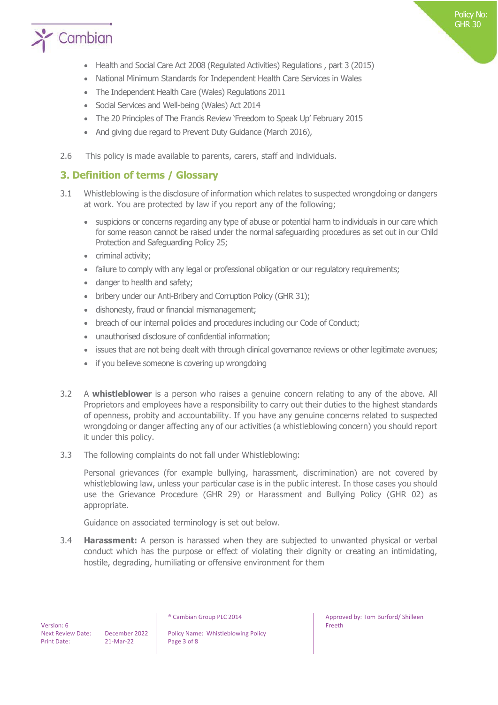

- Health and Social Care Act 2008 (Regulated Activities) Regulations , part 3 (2015)
- National Minimum Standards for Independent Health Care Services in Wales
- The Independent Health Care (Wales) Regulations 2011
- Social Services and Well-being (Wales) Act 2014
- The 20 Principles of The Francis Review 'Freedom to Speak Up' February 2015
- And giving due regard to Prevent Duty Guidance (March 2016),
- 2.6 This policy is made available to parents, carers, staff and individuals.

## **3. Definition of terms / Glossary**

- 3.1 Whistleblowing is the disclosure of information which relates to suspected wrongdoing or dangers at work. You are protected by law if you report any of the following;
	- suspicions or concerns regarding any type of abuse or potential harm to individuals in our care which for some reason cannot be raised under the normal safeguarding procedures as set out in our Child Protection and Safeguarding Policy 25;
	- criminal activity;
	- failure to comply with any legal or professional obligation or our regulatory requirements;
	- danger to health and safety;
	- bribery under our Anti-Bribery and Corruption Policy (GHR 31);
	- dishonesty, fraud or financial mismanagement;
	- breach of our internal policies and procedures including our Code of Conduct;
	- unauthorised disclosure of confidential information;
	- issues that are not being dealt with through clinical governance reviews or other legitimate avenues;
	- if you believe someone is covering up wrongdoing
- 3.2 A **whistleblower** is a person who raises a genuine concern relating to any of the above. All Proprietors and employees have a responsibility to carry out their duties to the highest standards of openness, probity and accountability. If you have any genuine concerns related to suspected wrongdoing or danger affecting any of our activities (a whistleblowing concern) you should report it under this policy.
- 3.3 The following complaints do not fall under Whistleblowing:

Personal grievances (for example bullying, harassment, discrimination) are not covered by whistleblowing law, unless your particular case is in the public interest. In those cases you should use the Grievance Procedure (GHR 29) or Harassment and Bullying Policy (GHR 02) as appropriate.

Guidance on associated terminology is set out below.

3.4 **Harassment:** A person is harassed when they are subjected to unwanted physical or verbal conduct which has the purpose or effect of violating their dignity or creating an intimidating, hostile, degrading, humiliating or offensive environment for them

Next Review Date: December 2022 | Policy Name: Whistleblowing Policy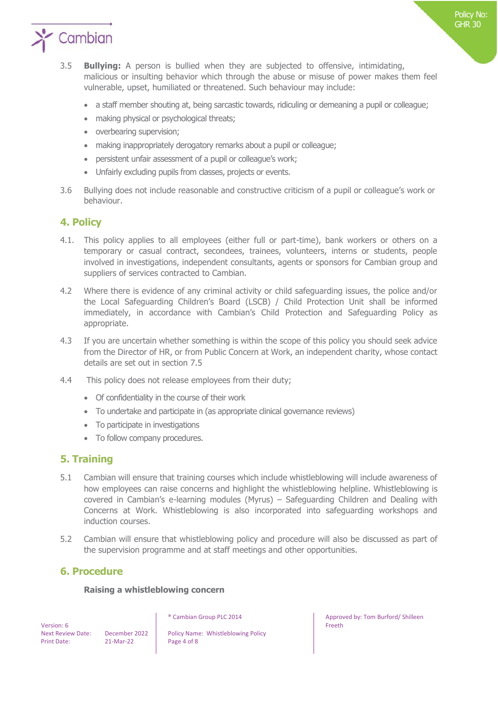

- 3.5 **Bullying:** A person is bullied when they are subjected to offensive, intimidating, malicious or insulting behavior which through the abuse or misuse of power makes them feel vulnerable, upset, humiliated or threatened. Such behaviour may include:
	- a staff member shouting at, being sarcastic towards, ridiculing or demeaning a pupil or colleague;
	- making physical or psychological threats;
	- overbearing supervision;
	- making inappropriately derogatory remarks about a pupil or colleague;
	- persistent unfair assessment of a pupil or colleague's work;
	- Unfairly excluding pupils from classes, projects or events.
- 3.6 Bullying does not include reasonable and constructive criticism of a pupil or colleague's work or behaviour.

## **4. Policy**

- 4.1. This policy applies to all employees (either full or part-time), bank workers or others on a temporary or casual contract, secondees, trainees, volunteers, interns or students, people involved in investigations, independent consultants, agents or sponsors for Cambian group and suppliers of services contracted to Cambian.
- 4.2 Where there is evidence of any criminal activity or child safeguarding issues, the police and/or the Local Safeguarding Children's Board (LSCB) / Child Protection Unit shall be informed immediately, in accordance with Cambian's Child Protection and Safeguarding Policy as appropriate.
- 4.3 If you are uncertain whether something is within the scope of this policy you should seek advice from the Director of HR, or from Public Concern at Work, an independent charity, whose contact details are set out in section 7.5
- 4.4 This policy does not release employees from their duty;
	- Of confidentiality in the course of their work
	- To undertake and participate in (as appropriate clinical governance reviews)
	- To participate in investigations
	- To follow company procedures.

## **5. Training**

- 5.1 Cambian will ensure that training courses which include whistleblowing will include awareness of how employees can raise concerns and highlight the whistleblowing helpline. Whistleblowing is covered in Cambian's e-learning modules (Myrus) – Safeguarding Children and Dealing with Concerns at Work. Whistleblowing is also incorporated into safeguarding workshops and induction courses.
- 5.2 Cambian will ensure that whistleblowing policy and procedure will also be discussed as part of the supervision programme and at staff meetings and other opportunities.

## **6. Procedure**

#### **Raising a whistleblowing concern**

 Version: 6 Print Date: 21-Mar-22 Page 4 of 8

Next Review Date: December 2022 | Policy Name: Whistleblowing Policy

® Cambian Group PLC 2014 **Approved by: Tom Burford/ Shilleen** Freeth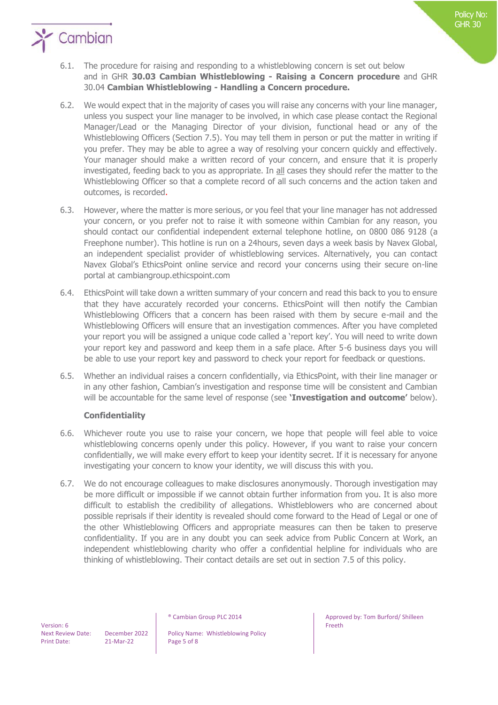

- 6.2. We would expect that in the majority of cases you will raise any concerns with your line manager, unless you suspect your line manager to be involved, in which case please contact the Regional Manager/Lead or the Managing Director of your division, functional head or any of the Whistleblowing Officers (Section 7.5). You may tell them in person or put the matter in writing if you prefer. They may be able to agree a way of resolving your concern quickly and effectively. Your manager should make a written record of your concern, and ensure that it is properly investigated, feeding back to you as appropriate. In all cases they should refer the matter to the Whistleblowing Officer so that a complete record of all such concerns and the action taken and outcomes, is recorded.
- 6.3. However, where the matter is more serious, or you feel that your line manager has not addressed your concern, or you prefer not to raise it with someone within Cambian for any reason, you should contact our confidential independent external telephone hotline, on 0800 086 9128 (a Freephone number). This hotline is run on a 24hours, seven days a week basis by Navex Global, an independent specialist provider of whistleblowing services. Alternatively, you can contact Navex Global's EthicsPoint online service and record your concerns using their secure on-line portal at cambiangroup.ethicspoint.com
- 6.4. EthicsPoint will take down a written summary of your concern and read this back to you to ensure that they have accurately recorded your concerns. EthicsPoint will then notify the Cambian Whistleblowing Officers that a concern has been raised with them by secure e-mail and the Whistleblowing Officers will ensure that an investigation commences. After you have completed your report you will be assigned a unique code called a 'report key'. You will need to write down your report key and password and keep them in a safe place. After 5-6 business days you will be able to use your report key and password to check your report for feedback or questions.
- 6.5. Whether an individual raises a concern confidentially, via EthicsPoint, with their line manager or in any other fashion, Cambian's investigation and response time will be consistent and Cambian will be accountable for the same level of response (see **'Investigation and outcome'** below).

## **Confidentiality**

- 6.6. Whichever route you use to raise your concern, we hope that people will feel able to voice whistleblowing concerns openly under this policy. However, if you want to raise your concern confidentially, we will make every effort to keep your identity secret. If it is necessary for anyone investigating your concern to know your identity, we will discuss this with you.
- 6.7. We do not encourage colleagues to make disclosures anonymously. Thorough investigation may be more difficult or impossible if we cannot obtain further information from you. It is also more difficult to establish the credibility of allegations. Whistleblowers who are concerned about possible reprisals if their identity is revealed should come forward to the Head of Legal or one of the other Whistleblowing Officers and appropriate measures can then be taken to preserve confidentiality. If you are in any doubt you can seek advice from Public Concern at Work, an independent whistleblowing charity who offer a confidential helpline for individuals who are thinking of whistleblowing. Their contact details are set out in section 7.5 of this policy.

Next Review Date: December 2022 | Policy Name: Whistleblowing Policy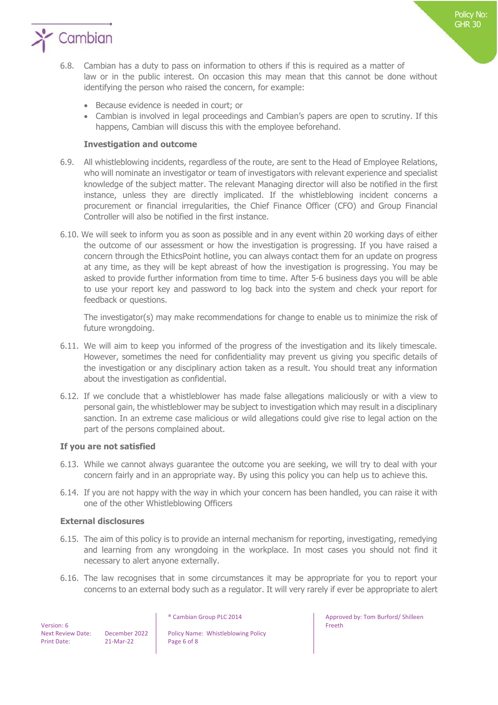

- 6.8. Cambian has a duty to pass on information to others if this is required as a matter of law or in the public interest. On occasion this may mean that this cannot be done without identifying the person who raised the concern, for example:
	- Because evidence is needed in court; or
	- Cambian is involved in legal proceedings and Cambian's papers are open to scrutiny. If this happens, Cambian will discuss this with the employee beforehand.

#### **Investigation and outcome**

- 6.9. All whistleblowing incidents, regardless of the route, are sent to the Head of Employee Relations, who will nominate an investigator or team of investigators with relevant experience and specialist knowledge of the subject matter. The relevant Managing director will also be notified in the first instance, unless they are directly implicated. If the whistleblowing incident concerns a procurement or financial irregularities, the Chief Finance Officer (CFO) and Group Financial Controller will also be notified in the first instance.
- 6.10. We will seek to inform you as soon as possible and in any event within 20 working days of either the outcome of our assessment or how the investigation is progressing. If you have raised a concern through the EthicsPoint hotline, you can always contact them for an update on progress at any time, as they will be kept abreast of how the investigation is progressing. You may be asked to provide further information from time to time. After 5-6 business days you will be able to use your report key and password to log back into the system and check your report for feedback or questions.

The investigator(s) may make recommendations for change to enable us to minimize the risk of future wrongdoing.

- 6.11. We will aim to keep you informed of the progress of the investigation and its likely timescale. However, sometimes the need for confidentiality may prevent us giving you specific details of the investigation or any disciplinary action taken as a result. You should treat any information about the investigation as confidential.
- 6.12. If we conclude that a whistleblower has made false allegations maliciously or with a view to personal gain, the whistleblower may be subject to investigation which may result in a disciplinary sanction. In an extreme case malicious or wild allegations could give rise to legal action on the part of the persons complained about.

#### **If you are not satisfied**

- 6.13. While we cannot always guarantee the outcome you are seeking, we will try to deal with your concern fairly and in an appropriate way. By using this policy you can help us to achieve this.
- 6.14. If you are not happy with the way in which your concern has been handled, you can raise it with one of the other Whistleblowing Officers

#### **External disclosures**

- 6.15. The aim of this policy is to provide an internal mechanism for reporting, investigating, remedying and learning from any wrongdoing in the workplace. In most cases you should not find it necessary to alert anyone externally.
- 6.16. The law recognises that in some circumstances it may be appropriate for you to report your concerns to an external body such as a regulator. It will very rarely if ever be appropriate to alert

 Version: 6 Print Date: 21-Mar-22 Page 6 of 8

Next Review Date: December 2022 | Policy Name: Whistleblowing Policy

® Cambian Group PLC 2014 **Approved by: Tom Burford/ Shilleen** Freeth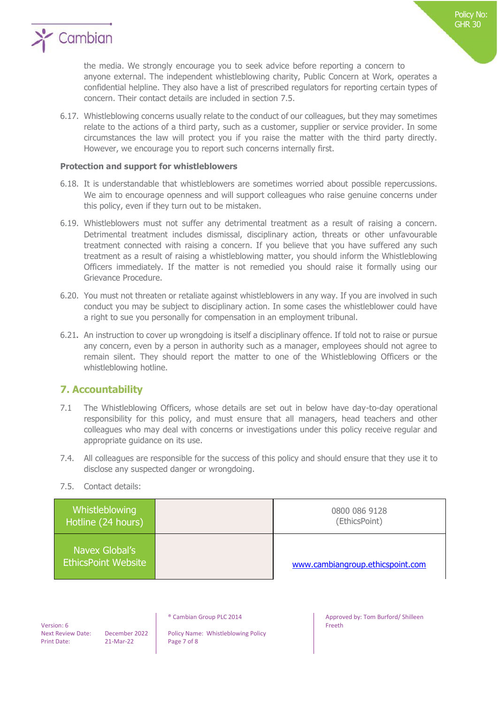

the media. We strongly encourage you to seek advice before reporting a concern to anyone external. The independent whistleblowing charity, Public Concern at Work, operates a confidential helpline. They also have a list of prescribed regulators for reporting certain types of concern. Their contact details are included in section 7.5.

6.17. Whistleblowing concerns usually relate to the conduct of our colleagues, but they may sometimes relate to the actions of a third party, such as a customer, supplier or service provider. In some circumstances the law will protect you if you raise the matter with the third party directly. However, we encourage you to report such concerns internally first.

#### **Protection and support for whistleblowers**

- 6.18. It is understandable that whistleblowers are sometimes worried about possible repercussions. We aim to encourage openness and will support colleagues who raise genuine concerns under this policy, even if they turn out to be mistaken.
- 6.19. Whistleblowers must not suffer any detrimental treatment as a result of raising a concern. Detrimental treatment includes dismissal, disciplinary action, threats or other unfavourable treatment connected with raising a concern. If you believe that you have suffered any such treatment as a result of raising a whistleblowing matter, you should inform the Whistleblowing Officers immediately. If the matter is not remedied you should raise it formally using our Grievance Procedure.
- 6.20. You must not threaten or retaliate against whistleblowers in any way. If you are involved in such conduct you may be subject to disciplinary action. In some cases the whistleblower could have a right to sue you personally for compensation in an employment tribunal.
- 6.21**.** An instruction to cover up wrongdoing is itself a disciplinary offence. If told not to raise or pursue any concern, even by a person in authority such as a manager, employees should not agree to remain silent. They should report the matter to one of the Whistleblowing Officers or the whistleblowing hotline.

## **7. Accountability**

- 7.1 The Whistleblowing Officers, whose details are set out in below have day-to-day operational responsibility for this policy, and must ensure that all managers, head teachers and other colleagues who may deal with concerns or investigations under this policy receive regular and appropriate guidance on its use.
- 7.4. All colleagues are responsible for the success of this policy and should ensure that they use it to disclose any suspected danger or wrongdoing.
- 7.5. Contact details:

| Whistleblowing<br>Hotline (24 hours)         | 0800 086 9128<br>(EthicsPoint)   |
|----------------------------------------------|----------------------------------|
| Navex Global's<br><b>EthicsPoint Website</b> | www.cambiangroup.ethicspoint.com |

 Version: 6 Print Date: 21-Mar-22 Page 7 of 8

Next Review Date: December 2022 | Policy Name: Whistleblowing Policy

® Cambian Group PLC 2014 **Approved by: Tom Burford/ Shilleen** Freeth